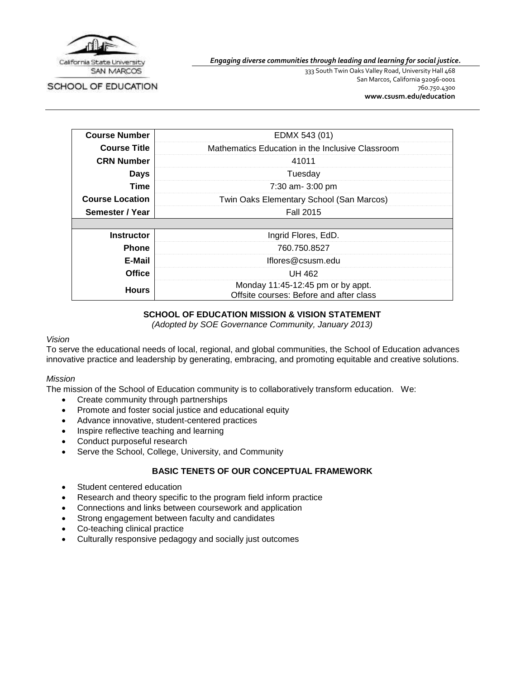

SCHOOL OF EDUCATION

*Engaging diverse communities through leading and learning for social justice.*

333 South Twin Oaks Valley Road, University Hall 468 San Marcos, California 92096-0001 760.750.4300 **[www.csusm.edu/education](http://www.csusm.edu/education)**

| <b>Course Number</b>   | EDMX 543 (01)                                                                |
|------------------------|------------------------------------------------------------------------------|
| <b>Course Title</b>    | Mathematics Education in the Inclusive Classroom                             |
| <b>CRN Number</b>      | 41011                                                                        |
| <b>Days</b>            | Tuesday                                                                      |
| Time                   | 7:30 am- 3:00 pm                                                             |
| <b>Course Location</b> | Twin Oaks Elementary School (San Marcos)                                     |
| Semester / Year        | <b>Fall 2015</b>                                                             |
|                        |                                                                              |
| <b>Instructor</b>      | Ingrid Flores, EdD.                                                          |
| <b>Phone</b>           | 760.750.8527                                                                 |
| E-Mail                 | lflores@csusm.edu                                                            |
| <b>Office</b>          | UH 462                                                                       |
| <b>Hours</b>           | Monday 11:45-12:45 pm or by appt.<br>Offsite courses: Before and after class |

# **SCHOOL OF EDUCATION MISSION & VISION STATEMENT**

*(Adopted by SOE Governance Community, January 2013)*

## *Vision*

To serve the educational needs of local, regional, and global communities, the School of Education advances innovative practice and leadership by generating, embracing, and promoting equitable and creative solutions.

### *Mission*

The mission of the School of Education community is to collaboratively transform education. We:

- Create community through partnerships
- Promote and foster social justice and educational equity
- Advance innovative, student-centered practices
- Inspire reflective teaching and learning
- Conduct purposeful research
- Serve the School, College, University, and Community

# **BASIC TENETS OF OUR CONCEPTUAL FRAMEWORK**

- Student centered education
- Research and theory specific to the program field inform practice
- Connections and links between coursework and application
- Strong engagement between faculty and candidates
- Co-teaching clinical practice
- Culturally responsive pedagogy and socially just outcomes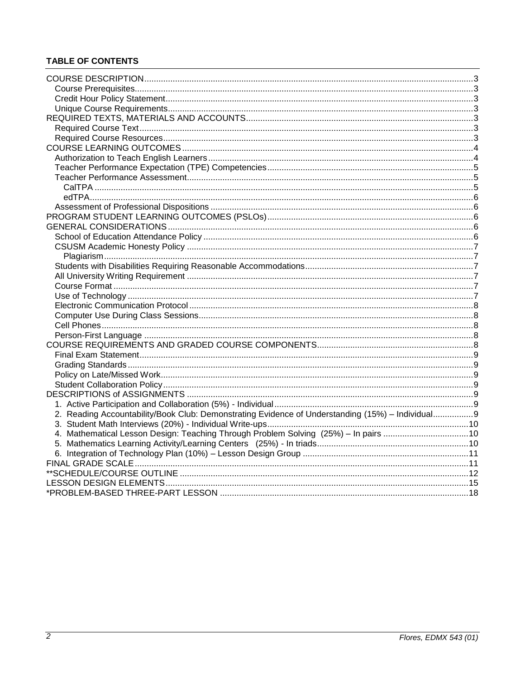# **TABLE OF CONTENTS**

| 2. Reading Accountability/Book Club: Demonstrating Evidence of Understanding (15%) - Individual9 |  |
|--------------------------------------------------------------------------------------------------|--|
|                                                                                                  |  |
| 4. Mathematical Lesson Design: Teaching Through Problem Solving (25%) - In pairs 10              |  |
|                                                                                                  |  |
|                                                                                                  |  |
|                                                                                                  |  |
|                                                                                                  |  |
|                                                                                                  |  |
|                                                                                                  |  |
|                                                                                                  |  |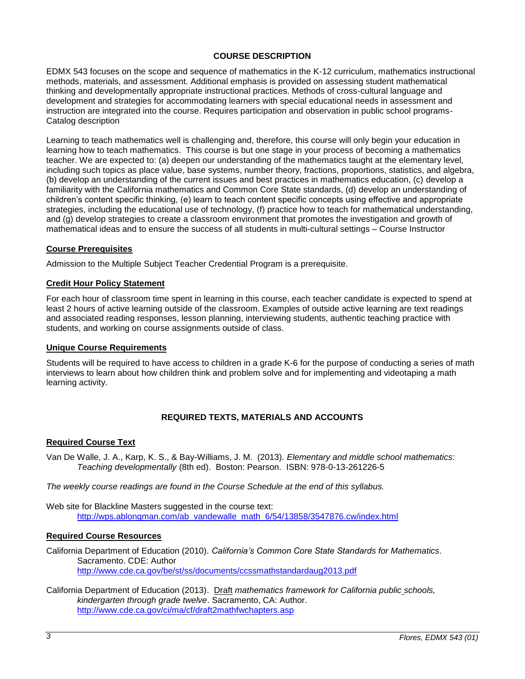# **COURSE DESCRIPTION**

<span id="page-2-0"></span>EDMX 543 focuses on the scope and sequence of mathematics in the K-12 curriculum, mathematics instructional methods, materials, and assessment. Additional emphasis is provided on assessing student mathematical thinking and developmentally appropriate instructional practices. Methods of cross-cultural language and development and strategies for accommodating learners with special educational needs in assessment and instruction are integrated into the course. Requires participation and observation in public school programs-Catalog description

Learning to teach mathematics well is challenging and, therefore, this course will only begin your education in learning how to teach mathematics. This course is but one stage in your process of becoming a mathematics teacher. We are expected to: (a) deepen our understanding of the mathematics taught at the elementary level, including such topics as place value, base systems, number theory, fractions, proportions, statistics, and algebra, (b) develop an understanding of the current issues and best practices in mathematics education, (c) develop a familiarity with the California mathematics and Common Core State standards, (d) develop an understanding of children's content specific thinking, (e) learn to teach content specific concepts using effective and appropriate strategies, including the educational use of technology, (f) practice how to teach for mathematical understanding, and (g) develop strategies to create a classroom environment that promotes the investigation and growth of mathematical ideas and to ensure the success of all students in multi-cultural settings – Course Instructor

## <span id="page-2-1"></span>**Course Prerequisites**

Admission to the Multiple Subject Teacher Credential Program is a prerequisite.

### <span id="page-2-2"></span>**Credit Hour Policy Statement**

For each hour of classroom time spent in learning in this course, each teacher candidate is expected to spend at least 2 hours of active learning outside of the classroom. Examples of outside active learning are text readings and associated reading responses, lesson planning, interviewing students, authentic teaching practice with students, and working on course assignments outside of class.

### <span id="page-2-3"></span>**Unique Course Requirements**

Students will be required to have access to children in a grade K-6 for the purpose of conducting a series of math interviews to learn about how children think and problem solve and for implementing and videotaping a math learning activity.

# **REQUIRED TEXTS, MATERIALS AND ACCOUNTS**

### <span id="page-2-5"></span><span id="page-2-4"></span>**Required Course Text**

Van De Walle, J. A., Karp, K. S., & Bay-Williams, J. M. (2013). *Elementary and middle school mathematics: Teaching developmentally* (8th ed). Boston: Pearson. ISBN: 978-0-13-261226-5

*The weekly course readings are found in the Course Schedule at the end of this syllabus.*

Web site for Blackline Masters suggested in the course text: [http://wps.ablongman.com/ab\\_vandewalle\\_math\\_6/54/13858/3547876.cw/index.html](http://wps.ablongman.com/ab_vandewalle_math_6/54/13858/3547876.cw/index.html)

### <span id="page-2-6"></span>**Required Course Resources**

California Department of Education (2010). *California's Common Core State Standards for Mathematics*. Sacramento. CDE: Author <http://www.cde.ca.gov/be/st/ss/documents/ccssmathstandardaug2013.pdf>

California Department of Education (2013). Draft *mathematics framework for California public schools, kindergarten through grade twelve*. Sacramento, CA: Author. <http://www.cde.ca.gov/ci/ma/cf/draft2mathfwchapters.asp>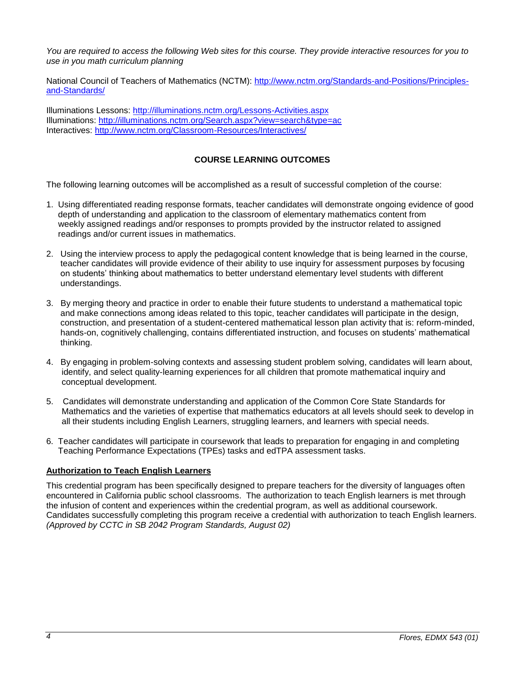*You are required to access the following Web sites for this course. They provide interactive resources for you to use in you math curriculum planning*

National Council of Teachers of Mathematics (NCTM): [http://www.nctm.org/Standards-and-Positions/Principles](http://www.nctm.org/Standards-and-Positions/Principles-and-Standards/)[and-Standards/](http://www.nctm.org/Standards-and-Positions/Principles-and-Standards/)

Illuminations Lessons:<http://illuminations.nctm.org/Lessons-Activities.aspx> Illuminations:<http://illuminations.nctm.org/Search.aspx?view=search&type=ac> Interactives:<http://www.nctm.org/Classroom-Resources/Interactives/>

# **COURSE LEARNING OUTCOMES**

<span id="page-3-0"></span>The following learning outcomes will be accomplished as a result of successful completion of the course:

- 1. Using differentiated reading response formats, teacher candidates will demonstrate ongoing evidence of good depth of understanding and application to the classroom of elementary mathematics content from weekly assigned readings and/or responses to prompts provided by the instructor related to assigned readings and/or current issues in mathematics.
- 2. Using the interview process to apply the pedagogical content knowledge that is being learned in the course, teacher candidates will provide evidence of their ability to use inquiry for assessment purposes by focusing on students' thinking about mathematics to better understand elementary level students with different understandings.
- 3. By merging theory and practice in order to enable their future students to understand a mathematical topic and make connections among ideas related to this topic, teacher candidates will participate in the design, construction, and presentation of a student-centered mathematical lesson plan activity that is: reform-minded, hands-on, cognitively challenging, contains differentiated instruction, and focuses on students' mathematical thinking.
- 4. By engaging in problem-solving contexts and assessing student problem solving, candidates will learn about, identify, and select quality-learning experiences for all children that promote mathematical inquiry and conceptual development.
- 5. Candidates will demonstrate understanding and application of the Common Core State Standards for Mathematics and the varieties of expertise that mathematics educators at all levels should seek to develop in all their students including English Learners, struggling learners, and learners with special needs.
- 6. Teacher candidates will participate in coursework that leads to preparation for engaging in and completing Teaching Performance Expectations (TPEs) tasks and edTPA assessment tasks.

### <span id="page-3-1"></span>**Authorization to Teach English Learners**

This credential program has been specifically designed to prepare teachers for the diversity of languages often encountered in California public school classrooms. The authorization to teach English learners is met through the infusion of content and experiences within the credential program, as well as additional coursework. Candidates successfully completing this program receive a credential with authorization to teach English learners. *(Approved by CCTC in SB 2042 Program Standards, August 02)*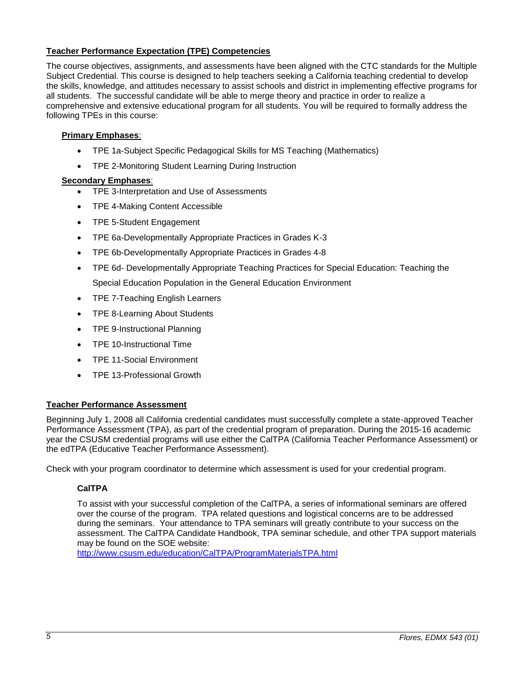# <span id="page-4-0"></span>**Teacher Performance Expectation (TPE) Competencies**

The course objectives, assignments, and assessments have been aligned with the CTC standards for the Multiple Subject Credential. This course is designed to help teachers seeking a California teaching credential to develop the skills, knowledge, and attitudes necessary to assist schools and district in implementing effective programs for all students. The successful candidate will be able to merge theory and practice in order to realize a comprehensive and extensive educational program for all students. You will be required to formally address the following TPEs in this course:

# **Primary Emphases**:

- TPE 1a-Subject Specific Pedagogical Skills for MS Teaching (Mathematics)
- TPE 2-Monitoring Student Learning During Instruction

# **Secondary Emphases**:

- TPE 3-Interpretation and Use of Assessments
- TPE 4-Making Content Accessible
- TPE 5-Student Engagement
- TPE 6a-Developmentally Appropriate Practices in Grades K-3
- TPE 6b-Developmentally Appropriate Practices in Grades 4-8
- TPE 6d- Developmentally Appropriate Teaching Practices for Special Education: Teaching the Special Education Population in the General Education Environment
- TPE 7-Teaching English Learners
- TPE 8-Learning About Students
- TPE 9-Instructional Planning
- TPE 10-Instructional Time
- TPE 11-Social Environment
- TPE 13-Professional Growth

# <span id="page-4-1"></span>**Teacher Performance Assessment**

Beginning July 1, 2008 all California credential candidates must successfully complete a state-approved Teacher Performance Assessment (TPA), as part of the credential program of preparation. During the 2015-16 academic year the CSUSM credential programs will use either the CalTPA (California Teacher Performance Assessment) or the edTPA (Educative Teacher Performance Assessment).

<span id="page-4-2"></span>Check with your program coordinator to determine which assessment is used for your credential program.

# **CalTPA**

To assist with your successful completion of the CalTPA, a series of informational seminars are offered over the course of the program. TPA related questions and logistical concerns are to be addressed during the seminars. Your attendance to TPA seminars will greatly contribute to your success on the assessment. The CalTPA Candidate Handbook, TPA seminar schedule, and other TPA support materials may be found on the SOE website:

<http://www.csusm.edu/education/CalTPA/ProgramMaterialsTPA.html>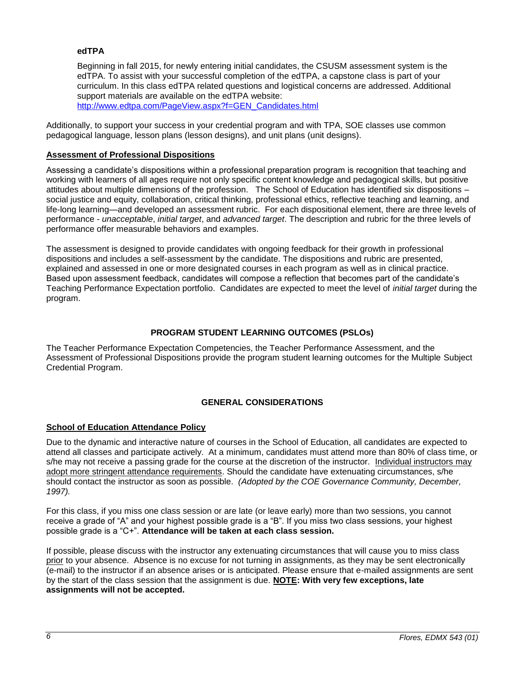# <span id="page-5-0"></span>**edTPA**

Beginning in fall 2015, for newly entering initial candidates, the CSUSM assessment system is the edTPA. To assist with your successful completion of the edTPA, a capstone class is part of your curriculum. In this class edTPA related questions and logistical concerns are addressed. Additional support materials are available on the edTPA website:

[http://www.edtpa.com/PageView.aspx?f=GEN\\_Candidates.html](http://www.edtpa.com/PageView.aspx?f=GEN_Candidates.html)

Additionally, to support your success in your credential program and with TPA, SOE classes use common pedagogical language, lesson plans (lesson designs), and unit plans (unit designs).

## <span id="page-5-1"></span>**Assessment of Professional Dispositions**

Assessing a candidate's dispositions within a professional preparation program is recognition that teaching and working with learners of all ages require not only specific content knowledge and pedagogical skills, but positive attitudes about multiple dimensions of the profession. The School of Education has identified six dispositions – social justice and equity, collaboration, critical thinking, professional ethics, reflective teaching and learning, and life-long learning—and developed an assessment rubric. For each dispositional element, there are three levels of performance - *unacceptable*, *initial target*, and *advanced target*. The description and rubric for the three levels of performance offer measurable behaviors and examples.

The assessment is designed to provide candidates with ongoing feedback for their growth in professional dispositions and includes a self-assessment by the candidate. The dispositions and rubric are presented, explained and assessed in one or more designated courses in each program as well as in clinical practice. Based upon assessment feedback, candidates will compose a reflection that becomes part of the candidate's Teaching Performance Expectation portfolio. Candidates are expected to meet the level of *initial target* during the program.

# **PROGRAM STUDENT LEARNING OUTCOMES (PSLOs)**

<span id="page-5-2"></span>The Teacher Performance Expectation Competencies, the Teacher Performance Assessment, and the Assessment of Professional Dispositions provide the program student learning outcomes for the Multiple Subject Credential Program.

# **GENERAL CONSIDERATIONS**

# <span id="page-5-4"></span><span id="page-5-3"></span>**School of Education Attendance Policy**

Due to the dynamic and interactive nature of courses in the School of Education, all candidates are expected to attend all classes and participate actively. At a minimum, candidates must attend more than 80% of class time, or s/he may not receive a passing grade for the course at the discretion of the instructor. Individual instructors may adopt more stringent attendance requirements. Should the candidate have extenuating circumstances, s/he should contact the instructor as soon as possible. *(Adopted by the COE Governance Community, December, 1997).*

For this class, if you miss one class session or are late (or leave early) more than two sessions, you cannot receive a grade of "A" and your highest possible grade is a "B". If you miss two class sessions, your highest possible grade is a "C+". **Attendance will be taken at each class session.**

If possible, please discuss with the instructor any extenuating circumstances that will cause you to miss class prior to your absence. Absence is no excuse for not turning in assignments, as they may be sent electronically (e-mail) to the instructor if an absence arises or is anticipated. Please ensure that e-mailed assignments are sent by the start of the class session that the assignment is due. **NOTE: With very few exceptions, late assignments will not be accepted.**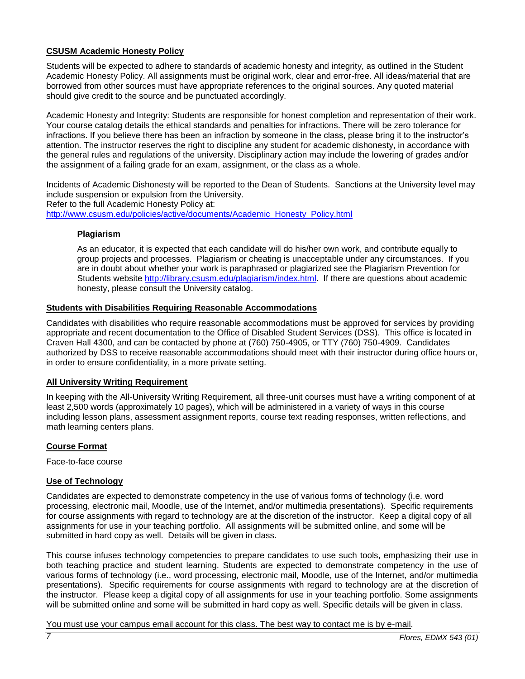# <span id="page-6-0"></span>**CSUSM Academic Honesty Policy**

Students will be expected to adhere to standards of academic honesty and integrity, as outlined in the Student Academic Honesty Policy. All assignments must be original work, clear and error-free. All ideas/material that are borrowed from other sources must have appropriate references to the original sources. Any quoted material should give credit to the source and be punctuated accordingly.

Academic Honesty and Integrity: Students are responsible for honest completion and representation of their work. Your course catalog details the ethical standards and penalties for infractions. There will be zero tolerance for infractions. If you believe there has been an infraction by someone in the class, please bring it to the instructor's attention. The instructor reserves the right to discipline any student for academic dishonesty, in accordance with the general rules and regulations of the university. Disciplinary action may include the lowering of grades and/or the assignment of a failing grade for an exam, assignment, or the class as a whole.

Incidents of Academic Dishonesty will be reported to the Dean of Students. Sanctions at the University level may include suspension or expulsion from the University. Refer to the full Academic Honesty Policy at: [http://www.csusm.edu/policies/active/documents/Academic\\_Honesty\\_Policy.html](http://www.csusm.edu/policies/active/documents/Academic_Honesty_Policy.html)

## <span id="page-6-1"></span>**Plagiarism**

As an educator, it is expected that each candidate will do his/her own work, and contribute equally to group projects and processes. Plagiarism or cheating is unacceptable under any circumstances. If you are in doubt about whether your work is paraphrased or plagiarized see the Plagiarism Prevention for Students website [http://library.csusm.edu/plagiarism/index.html.](http://library.csusm.edu/plagiarism/index.html) If there are questions about academic honesty, please consult the University catalog.

## <span id="page-6-2"></span>**Students with Disabilities Requiring Reasonable Accommodations**

Candidates with disabilities who require reasonable accommodations must be approved for services by providing appropriate and recent documentation to the Office of Disabled Student Services (DSS). This office is located in Craven Hall 4300, and can be contacted by phone at (760) 750-4905, or TTY (760) 750-4909. Candidates authorized by DSS to receive reasonable accommodations should meet with their instructor during office hours or, in order to ensure confidentiality, in a more private setting.

### <span id="page-6-3"></span>**All University Writing Requirement**

In keeping with the All-University Writing Requirement, all three-unit courses must have a writing component of at least 2,500 words (approximately 10 pages), which will be administered in a variety of ways in this course including lesson plans, assessment assignment reports, course text reading responses, written reflections, and math learning centers plans.

### <span id="page-6-4"></span>**Course Format**

Face-to-face course

### <span id="page-6-5"></span>**Use of Technology**

Candidates are expected to demonstrate competency in the use of various forms of technology (i.e. word processing, electronic mail, Moodle, use of the Internet, and/or multimedia presentations). Specific requirements for course assignments with regard to technology are at the discretion of the instructor. Keep a digital copy of all assignments for use in your teaching portfolio. All assignments will be submitted online, and some will be submitted in hard copy as well. Details will be given in class.

This course infuses technology competencies to prepare candidates to use such tools, emphasizing their use in both teaching practice and student learning. Students are expected to demonstrate competency in the use of various forms of technology (i.e., word processing, electronic mail, Moodle, use of the Internet, and/or multimedia presentations). Specific requirements for course assignments with regard to technology are at the discretion of the instructor. Please keep a digital copy of all assignments for use in your teaching portfolio. Some assignments will be submitted online and some will be submitted in hard copy as well. Specific details will be given in class.

You must use your campus email account for this class. The best way to contact me is by e-mail.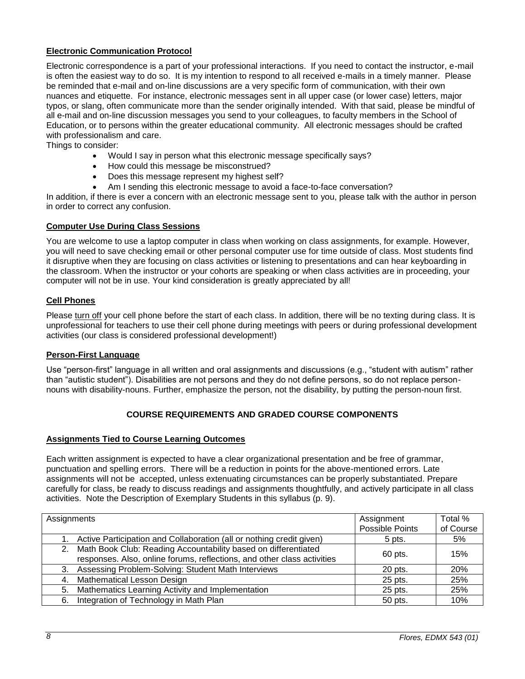# <span id="page-7-0"></span>**Electronic Communication Protocol**

Electronic correspondence is a part of your professional interactions. If you need to contact the instructor, e-mail is often the easiest way to do so. It is my intention to respond to all received e-mails in a timely manner. Please be reminded that e-mail and on-line discussions are a very specific form of communication, with their own nuances and etiquette. For instance, electronic messages sent in all upper case (or lower case) letters, major typos, or slang, often communicate more than the sender originally intended. With that said, please be mindful of all e-mail and on-line discussion messages you send to your colleagues, to faculty members in the School of Education, or to persons within the greater educational community. All electronic messages should be crafted with professionalism and care.

Things to consider:

- Would I say in person what this electronic message specifically says?
- How could this message be misconstrued?
- Does this message represent my highest self?
- Am I sending this electronic message to avoid a face-to-face conversation?

In addition, if there is ever a concern with an electronic message sent to you, please talk with the author in person in order to correct any confusion.

### <span id="page-7-1"></span>**Computer Use During Class Sessions**

You are welcome to use a laptop computer in class when working on class assignments, for example. However, you will need to save checking email or other personal computer use for time outside of class. Most students find it disruptive when they are focusing on class activities or listening to presentations and can hear keyboarding in the classroom. When the instructor or your cohorts are speaking or when class activities are in proceeding, your computer will not be in use. Your kind consideration is greatly appreciated by all!

## <span id="page-7-2"></span>**Cell Phones**

Please turn off your cell phone before the start of each class. In addition, there will be no texting during class. It is unprofessional for teachers to use their cell phone during meetings with peers or during professional development activities (our class is considered professional development!)

### <span id="page-7-3"></span>**Person-First Language**

Use "person-first" language in all written and oral assignments and discussions (e.g., "student with autism" rather than "autistic student"). Disabilities are not persons and they do not define persons, so do not replace personnouns with disability-nouns. Further, emphasize the person, not the disability, by putting the person-noun first.

### **COURSE REQUIREMENTS AND GRADED COURSE COMPONENTS**

### <span id="page-7-4"></span>**Assignments Tied to Course Learning Outcomes**

Each written assignment is expected to have a clear organizational presentation and be free of grammar, punctuation and spelling errors. There will be a reduction in points for the above-mentioned errors. Late assignments will not be accepted, unless extenuating circumstances can be properly substantiated. Prepare carefully for class, be ready to discuss readings and assignments thoughtfully, and actively participate in all class activities. Note the Description of Exemplary Students in this syllabus (p. 9).

| Assignments |                                                                                                                                              | Assignment<br>Possible Points | Total %<br>of Course |
|-------------|----------------------------------------------------------------------------------------------------------------------------------------------|-------------------------------|----------------------|
|             | Active Participation and Collaboration (all or nothing credit given)                                                                         | 5 pts.                        | 5%                   |
|             | 2. Math Book Club: Reading Accountability based on differentiated<br>responses. Also, online forums, reflections, and other class activities | 60 pts.                       | 15%                  |
|             | 3. Assessing Problem-Solving: Student Math Interviews                                                                                        | 20 pts.                       | 20%                  |
|             | 4. Mathematical Lesson Design                                                                                                                | 25 pts.                       | 25%                  |
|             | 5. Mathematics Learning Activity and Implementation                                                                                          | 25 pts.                       | 25%                  |
|             | 6. Integration of Technology in Math Plan                                                                                                    | 50 pts.                       | 10%                  |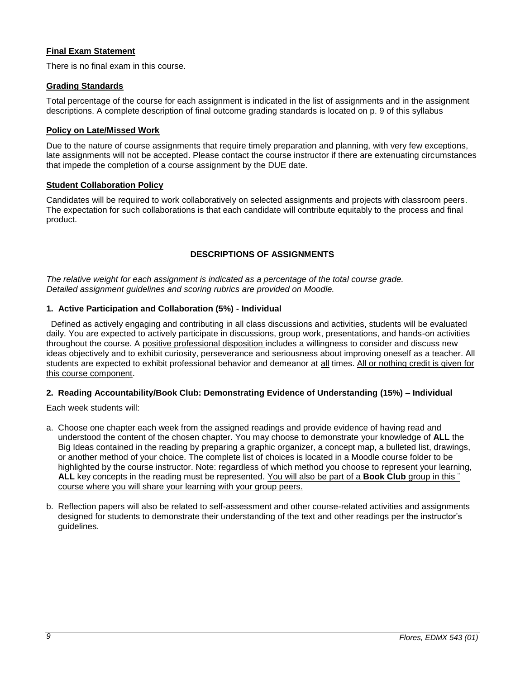# <span id="page-8-0"></span>**Final Exam Statement**

There is no final exam in this course.

## <span id="page-8-1"></span>**Grading Standards**

Total percentage of the course for each assignment is indicated in the list of assignments and in the assignment descriptions. A complete description of final outcome grading standards is located on p. 9 of this syllabus

# <span id="page-8-2"></span>**Policy on Late/Missed Work**

Due to the nature of course assignments that require timely preparation and planning, with very few exceptions, late assignments will not be accepted. Please contact the course instructor if there are extenuating circumstances that impede the completion of a course assignment by the DUE date.

## <span id="page-8-3"></span>**Student Collaboration Policy**

Candidates will be required to work collaboratively on selected assignments and projects with classroom peers. The expectation for such collaborations is that each candidate will contribute equitably to the process and final product.

# **DESCRIPTIONS OF ASSIGNMENTS**

<span id="page-8-4"></span>*The relative weight for each assignment is indicated as a percentage of the total course grade. Detailed assignment guidelines and scoring rubrics are provided on Moodle.* 

# <span id="page-8-5"></span>**1. Active Participation and Collaboration (5%) - Individual**

 Defined as actively engaging and contributing in all class discussions and activities, students will be evaluated daily. You are expected to actively participate in discussions, group work, presentations, and hands-on activities throughout the course. A positive professional disposition includes a willingness to consider and discuss new ideas objectively and to exhibit curiosity, perseverance and seriousness about improving oneself as a teacher. All students are expected to exhibit professional behavior and demeanor at all times. All or nothing credit is given for this course component.

# <span id="page-8-6"></span>**2. Reading Accountability/Book Club: Demonstrating Evidence of Understanding (15%) – Individual**

Each week students will:

- a. Choose one chapter each week from the assigned readings and provide evidence of having read and understood the content of the chosen chapter. You may choose to demonstrate your knowledge of **ALL** the Big Ideas contained in the reading by preparing a graphic organizer, a concept map, a bulleted list, drawings, or another method of your choice. The complete list of choices is located in a Moodle course folder to be highlighted by the course instructor. Note: regardless of which method you choose to represent your learning, **ALL** key concepts in the reading must be represented. You will also be part of a **Book Club** group in this ¨ course where you will share your learning with your group peers.
- b. Reflection papers will also be related to self-assessment and other course-related activities and assignments designed for students to demonstrate their understanding of the text and other readings per the instructor's guidelines.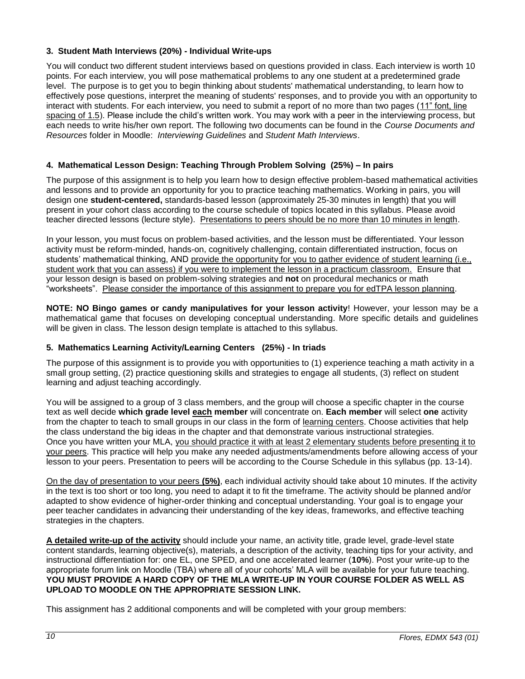# <span id="page-9-0"></span>**3. Student Math Interviews (20%) - Individual Write-ups**

You will conduct two different student interviews based on questions provided in class. Each interview is worth 10 points. For each interview, you will pose mathematical problems to any one student at a predetermined grade level. The purpose is to get you to begin thinking about students' mathematical understanding, to learn how to effectively pose questions, interpret the meaning of students' responses, and to provide you with an opportunity to interact with students. For each interview, you need to submit a report of no more than two pages (11" font, line spacing of 1.5). Please include the child's written work. You may work with a peer in the interviewing process, but each needs to write his/her own report. The following two documents can be found in the *Course Documents and Resources* folder in Moodle: *Interviewing Guidelines* and *Student Math Interviews*.

# <span id="page-9-1"></span>**4. Mathematical Lesson Design: Teaching Through Problem Solving (25%) – In pairs**

The purpose of this assignment is to help you learn how to design effective problem-based mathematical activities and lessons and to provide an opportunity for you to practice teaching mathematics. Working in pairs, you will design one **student-centered,** standards-based lesson (approximately 25-30 minutes in length) that you will present in your cohort class according to the course schedule of topics located in this syllabus. Please avoid teacher directed lessons (lecture style). Presentations to peers should be no more than 10 minutes in length.

In your lesson, you must focus on problem-based activities, and the lesson must be differentiated. Your lesson activity must be reform-minded, hands-on, cognitively challenging, contain differentiated instruction, focus on students' mathematical thinking, AND provide the opportunity for you to gather evidence of student learning (i.e., student work that you can assess) if you were to implement the lesson in a practicum classroom. Ensure that your lesson design is based on problem-solving strategies and **not** on procedural mechanics or math "worksheets". Please consider the importance of this assignment to prepare you for edTPA lesson planning.

**NOTE: NO Bingo games or candy manipulatives for your lesson activity**! However, your lesson may be a mathematical game that focuses on developing conceptual understanding. More specific details and guidelines will be given in class. The lesson design template is attached to this syllabus.

# <span id="page-9-2"></span>**5. Mathematics Learning Activity/Learning Centers (25%) - In triads**

The purpose of this assignment is to provide you with opportunities to (1) experience teaching a math activity in a small group setting, (2) practice questioning skills and strategies to engage all students, (3) reflect on student learning and adjust teaching accordingly.

You will be assigned to a group of 3 class members, and the group will choose a specific chapter in the course text as well decide **which grade level each member** will concentrate on. **Each member** will select **one** activity from the chapter to teach to small groups in our class in the form of learning centers. Choose activities that help the class understand the big ideas in the chapter and that demonstrate various instructional strategies. Once you have written your MLA, you should practice it with at least 2 elementary students before presenting it to your peers. This practice will help you make any needed adjustments/amendments before allowing access of your lesson to your peers. Presentation to peers will be according to the Course Schedule in this syllabus (pp. 13-14).

On the day of presentation to your peers **(5%)**, each individual activity should take about 10 minutes. If the activity in the text is too short or too long, you need to adapt it to fit the timeframe. The activity should be planned and/or adapted to show evidence of higher-order thinking and conceptual understanding. Your goal is to engage your peer teacher candidates in advancing their understanding of the key ideas, frameworks, and effective teaching strategies in the chapters.

**A detailed write-up of the activity** should include your name, an activity title, grade level, grade-level state content standards, learning objective(s), materials, a description of the activity, teaching tips for your activity, and instructional differentiation for: one EL, one SPED, and one accelerated learner (**10%**). Post your write-up to the appropriate forum link on Moodle (TBA) where all of your cohorts' MLA will be available for your future teaching. **YOU MUST PROVIDE A HARD COPY OF THE MLA WRITE-UP IN YOUR COURSE FOLDER AS WELL AS UPLOAD TO MOODLE ON THE APPROPRIATE SESSION LINK.**

This assignment has 2 additional components and will be completed with your group members: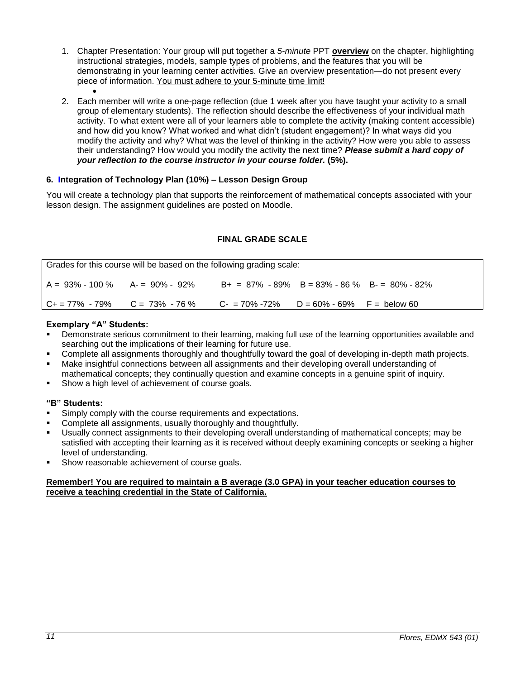- 1. Chapter Presentation: Your group will put together a *5-minute* PPT **overview** on the chapter, highlighting instructional strategies, models, sample types of problems, and the features that you will be demonstrating in your learning center activities. Give an overview presentation—do not present every piece of information. You must adhere to your 5-minute time limit!
- $\bullet$ 2. Each member will write a one-page reflection (due 1 week after you have taught your activity to a small group of elementary students). The reflection should describe the effectiveness of your individual math activity. To what extent were all of your learners able to complete the activity (making content accessible) and how did you know? What worked and what didn't (student engagement)? In what ways did you modify the activity and why? What was the level of thinking in the activity? How were you able to assess their understanding? How would you modify the activity the next time? *Please submit a hard copy of your reflection to the course instructor in your course folder.* **(5%).**

# <span id="page-10-0"></span>**6. Integration of Technology Plan (10%) – Lesson Design Group**

You will create a technology plan that supports the reinforcement of mathematical concepts associated with your lesson design. The assignment guidelines are posted on Moodle.

# **FINAL GRADE SCALE**

<span id="page-10-1"></span>

| Grades for this course will be based on the following grading scale: |                                                                                       |                                                 |  |  |
|----------------------------------------------------------------------|---------------------------------------------------------------------------------------|-------------------------------------------------|--|--|
| $A = 93\% - 100\%$ $A = 90\% - 92\%$                                 |                                                                                       | $B+ = 87\% - 89\%$ B = 83% - 86 % B = 80% - 82% |  |  |
|                                                                      | $C_+ = 77\%$ - 79% $C = 73\%$ - 76 % $C_+ = 70\%$ - 72% $D = 60\%$ - 69% F = below 60 |                                                 |  |  |

## **Exemplary "A" Students:**

- Demonstrate serious commitment to their learning, making full use of the learning opportunities available and searching out the implications of their learning for future use.
- Complete all assignments thoroughly and thoughtfully toward the goal of developing in-depth math projects.
- Make insightful connections between all assignments and their developing overall understanding of mathematical concepts; they continually question and examine concepts in a genuine spirit of inquiry.
- Show a high level of achievement of course goals.

# **"B" Students:**

- Simply comply with the course requirements and expectations.
- Complete all assignments, usually thoroughly and thoughtfully.
- Usually connect assignments to their developing overall understanding of mathematical concepts; may be satisfied with accepting their learning as it is received without deeply examining concepts or seeking a higher level of understanding.
- **Show reasonable achievement of course goals.**

### **Remember! You are required to maintain a B average (3.0 GPA) in your teacher education courses to receive a teaching credential in the State of California.**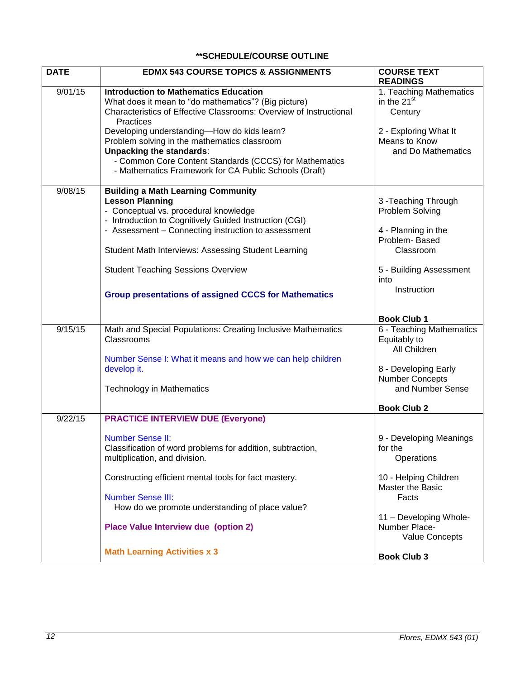# **\*\*SCHEDULE/COURSE OUTLINE**

<span id="page-11-0"></span>

| <b>DATE</b> | <b>EDMX 543 COURSE TOPICS &amp; ASSIGNMENTS</b>                                                                                                                                                                                                                                                                                                                                                                                              | <b>COURSE TEXT</b><br><b>READINGS</b>                                                                                                          |
|-------------|----------------------------------------------------------------------------------------------------------------------------------------------------------------------------------------------------------------------------------------------------------------------------------------------------------------------------------------------------------------------------------------------------------------------------------------------|------------------------------------------------------------------------------------------------------------------------------------------------|
| 9/01/15     | <b>Introduction to Mathematics Education</b><br>What does it mean to "do mathematics"? (Big picture)<br>Characteristics of Effective Classrooms: Overview of Instructional<br>Practices<br>Developing understanding-How do kids learn?<br>Problem solving in the mathematics classroom<br><b>Unpacking the standards:</b><br>- Common Core Content Standards (CCCS) for Mathematics<br>- Mathematics Framework for CA Public Schools (Draft) | 1. Teaching Mathematics<br>in the 21 <sup>st</sup><br>Century<br>2 - Exploring What It<br>Means to Know<br>and Do Mathematics                  |
| 9/08/15     | <b>Building a Math Learning Community</b><br><b>Lesson Planning</b><br>- Conceptual vs. procedural knowledge<br>- Introduction to Cognitively Guided Instruction (CGI)<br>- Assessment - Connecting instruction to assessment<br>Student Math Interviews: Assessing Student Learning<br><b>Student Teaching Sessions Overview</b><br><b>Group presentations of assigned CCCS for Mathematics</b>                                             | 3 - Teaching Through<br>Problem Solving<br>4 - Planning in the<br>Problem-Based<br>Classroom<br>5 - Building Assessment<br>into<br>Instruction |
|             |                                                                                                                                                                                                                                                                                                                                                                                                                                              | <b>Book Club 1</b>                                                                                                                             |
| 9/15/15     | Math and Special Populations: Creating Inclusive Mathematics<br>Classrooms<br>Number Sense I: What it means and how we can help children<br>develop it.<br><b>Technology in Mathematics</b>                                                                                                                                                                                                                                                  | 6 - Teaching Mathematics<br>Equitably to<br>All Children<br>8 - Developing Early<br><b>Number Concepts</b><br>and Number Sense                 |
|             |                                                                                                                                                                                                                                                                                                                                                                                                                                              | <b>Book Club 2</b>                                                                                                                             |
| 9/22/15     | <b>PRACTICE INTERVIEW DUE (Everyone)</b><br><b>Number Sense II:</b><br>Classification of word problems for addition, subtraction,<br>multiplication, and division.                                                                                                                                                                                                                                                                           | 9 - Developing Meanings<br>for the<br>Operations                                                                                               |
|             | Constructing efficient mental tools for fact mastery.<br><b>Number Sense III:</b><br>How do we promote understanding of place value?<br><b>Place Value Interview due (option 2)</b>                                                                                                                                                                                                                                                          | 10 - Helping Children<br>Master the Basic<br>Facts<br>11 - Developing Whole-<br>Number Place-<br>Value Concepts                                |
|             | <b>Math Learning Activities x 3</b>                                                                                                                                                                                                                                                                                                                                                                                                          | <b>Book Club 3</b>                                                                                                                             |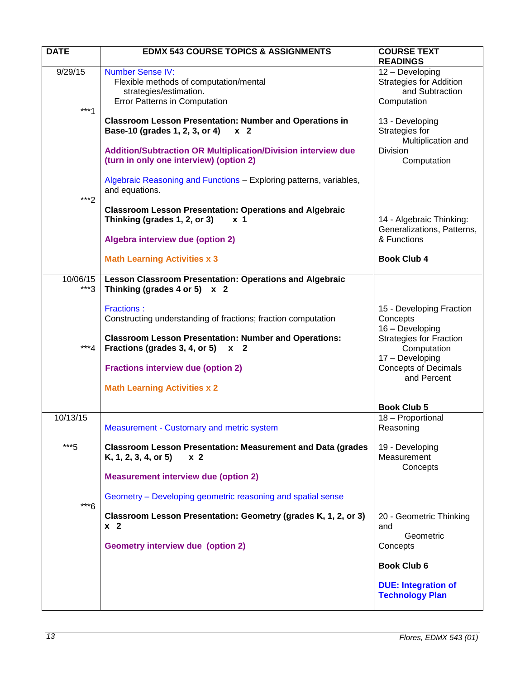| <b>DATE</b>       | <b>EDMX 543 COURSE TOPICS &amp; ASSIGNMENTS</b>                                                                                                          | <b>COURSE TEXT</b><br><b>READINGS</b>                                                           |
|-------------------|----------------------------------------------------------------------------------------------------------------------------------------------------------|-------------------------------------------------------------------------------------------------|
| 9/29/15<br>$***1$ | <b>Number Sense IV:</b><br>Flexible methods of computation/mental<br>strategies/estimation.<br><b>Error Patterns in Computation</b>                      | 12 - Developing<br><b>Strategies for Addition</b><br>and Subtraction<br>Computation             |
|                   | <b>Classroom Lesson Presentation: Number and Operations in</b><br>Base-10 (grades 1, 2, 3, or 4)<br>x <sub>2</sub>                                       | 13 - Developing<br>Strategies for<br>Multiplication and                                         |
|                   | <b>Addition/Subtraction OR Multiplication/Division interview due</b><br>(turn in only one interview) (option 2)                                          | Division<br>Computation                                                                         |
| $***2$            | Algebraic Reasoning and Functions - Exploring patterns, variables,<br>and equations.                                                                     |                                                                                                 |
|                   | <b>Classroom Lesson Presentation: Operations and Algebraic</b><br>Thinking (grades 1, 2, or 3)<br>x <sub>1</sub><br>Algebra interview due (option 2)     | 14 - Algebraic Thinking:<br>Generalizations, Patterns,<br>& Functions                           |
|                   | <b>Math Learning Activities x 3</b>                                                                                                                      | <b>Book Club 4</b>                                                                              |
| 10/06/15<br>***3  | <b>Lesson Classroom Presentation: Operations and Algebraic</b><br>Thinking (grades 4 or 5) $x$ 2                                                         |                                                                                                 |
|                   | <b>Fractions:</b><br>Constructing understanding of fractions; fraction computation                                                                       | 15 - Developing Fraction<br>Concepts<br>16 - Developing                                         |
| $***4$            | <b>Classroom Lesson Presentation: Number and Operations:</b><br>Fractions (grades 3, 4, or 5)<br><b>x</b> 2<br><b>Fractions interview due (option 2)</b> | <b>Strategies for Fraction</b><br>Computation<br>17 - Developing<br><b>Concepts of Decimals</b> |
|                   | <b>Math Learning Activities x 2</b>                                                                                                                      | and Percent                                                                                     |
|                   |                                                                                                                                                          | <b>Book Club 5</b>                                                                              |
| 10/13/15          | Measurement - Customary and metric system                                                                                                                | 18 - Proportional<br>Reasoning                                                                  |
| ***5              | <b>Classroom Lesson Presentation: Measurement and Data (grades</b><br>K, 1, 2, 3, 4, or 5<br>x <sub>2</sub>                                              | 19 - Developing<br>Measurement<br>Concepts                                                      |
|                   | <b>Measurement interview due (option 2)</b>                                                                                                              |                                                                                                 |
| $***6$            | Geometry – Developing geometric reasoning and spatial sense                                                                                              |                                                                                                 |
|                   | Classroom Lesson Presentation: Geometry (grades K, 1, 2, or 3)<br>x <sub>2</sub>                                                                         | 20 - Geometric Thinking<br>and<br>Geometric                                                     |
|                   | <b>Geometry interview due (option 2)</b>                                                                                                                 | Concepts                                                                                        |
|                   |                                                                                                                                                          | <b>Book Club 6</b>                                                                              |
|                   |                                                                                                                                                          | <b>DUE: Integration of</b><br><b>Technology Plan</b>                                            |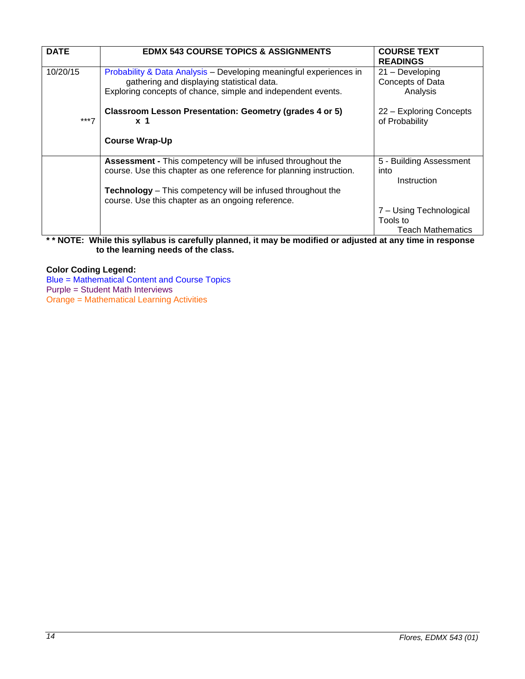| <b>DATE</b> | <b>EDMX 543 COURSE TOPICS &amp; ASSIGNMENTS</b>                                                                                                                                  | <b>COURSE TEXT</b><br><b>READINGS</b>                           |
|-------------|----------------------------------------------------------------------------------------------------------------------------------------------------------------------------------|-----------------------------------------------------------------|
| 10/20/15    | Probability & Data Analysis – Developing meaningful experiences in<br>gathering and displaying statistical data.<br>Exploring concepts of chance, simple and independent events. | $21 -$ Developing<br>Concepts of Data<br>Analysis               |
| $***7$      | Classroom Lesson Presentation: Geometry (grades 4 or 5)<br>x <sub>1</sub>                                                                                                        | 22 - Exploring Concepts<br>of Probability                       |
|             | <b>Course Wrap-Up</b>                                                                                                                                                            |                                                                 |
|             | <b>Assessment - This competency will be infused throughout the</b><br>course. Use this chapter as one reference for planning instruction.                                        | 5 - Building Assessment<br>into<br>Instruction                  |
|             | <b>Technology</b> – This competency will be infused throughout the<br>course. Use this chapter as an ongoing reference.                                                          |                                                                 |
|             | .<br>$\sim$ $\sim$ $\sim$<br>.                                                                                                                                                   | 7 – Using Technological<br>Tools to<br><b>Teach Mathematics</b> |

## **\* \* NOTE: While this syllabus is carefully planned, it may be modified or adjusted at any time in response to the learning needs of the class.**

# **Color Coding Legend:**

Blue = Mathematical Content and Course Topics

Purple = Student Math Interviews Orange = Mathematical Learning Activities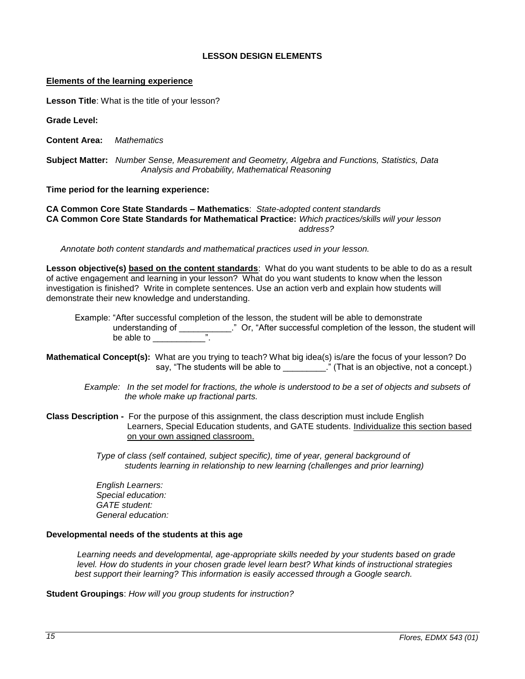# **LESSON DESIGN ELEMENTS**

#### <span id="page-14-0"></span>**Elements of the learning experience**

**Lesson Title**: What is the title of your lesson?

**Grade Level:**

**Content Area:** *Mathematics*

**Subject Matter:** *Number Sense, Measurement and Geometry, Algebra and Functions, Statistics, Data Analysis and Probability, Mathematical Reasoning*

**Time period for the learning experience:** 

**CA Common Core State Standards – Mathematics**: *State-adopted content standards* **CA Common Core State Standards for Mathematical Practice:** *Which practices/skills will your lesson address? address?* 

 *Annotate both content standards and mathematical practices used in your lesson.*

**Lesson objective(s) based on the content standards**: What do you want students to be able to do as a result of active engagement and learning in your lesson? What do you want students to know when the lesson investigation is finished? Write in complete sentences. Use an action verb and explain how students will demonstrate their new knowledge and understanding.

 Example: "After successful completion of the lesson, the student will be able to demonstrate understanding of \_\_\_\_\_\_\_\_\_\_\_\_." Or, "After successful completion of the lesson, the student will be able to  $\blacksquare$ 

**Mathematical Concept(s):** What are you trying to teach? What big idea(s) is/are the focus of your lesson? Do say, "The students will be able to \_\_\_\_\_\_\_\_\_." (That is an objective, not a concept.)

- *Example: In the set model for fractions, the whole is understood to be a set of objects and subsets of the whole make up fractional parts.*
- **Class Description** For the purpose of this assignment, the class description must include English Learners, Special Education students, and GATE students. Individualize this section based on your own assigned classroom.

*Type of class (self contained, subject specific), time of year, general background of students learning in relationship to new learning (challenges and prior learning)*

 *English Learners: Special education: GATE student: General education:* 

#### **Developmental needs of the students at this age**

*Learning needs and developmental, age-appropriate skills needed by your students based on grade level. How do students in your chosen grade level learn best? What kinds of instructional strategies best support their learning? This information is easily accessed through a Google search.*

**Student Groupings**: *How will you group students for instruction?*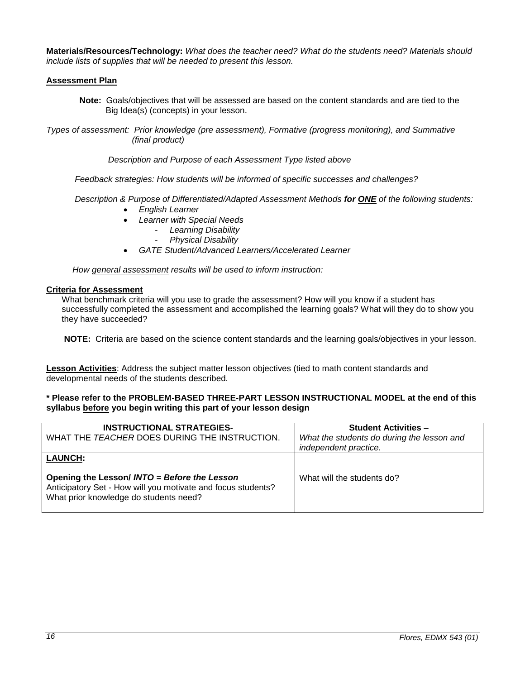**Materials/Resources/Technology:** *What does the teacher need? What do the students need? Materials should include lists of supplies that will be needed to present this lesson.*

## **Assessment Plan**

**Note:** Goals/objectives that will be assessed are based on the content standards and are tied to the Big Idea(s) (concepts) in your lesson.

*Types of assessment: Prior knowledge (pre assessment), Formative (progress monitoring), and Summative (final product)*

 *Description and Purpose of each Assessment Type listed above* 

 *Feedback strategies: How students will be informed of specific successes and challenges?*

 *Description & Purpose of Differentiated/Adapted Assessment Methods for ONE of the following students:*

- *English Learner*
- *Learner with Special Needs*
	- *Learning Disability*
		- *Physical Disability*
- *GATE Student/Advanced Learners/Accelerated Learner*

 *How general assessment results will be used to inform instruction:*

#### **Criteria for Assessment**

What benchmark criteria will you use to grade the assessment? How will you know if a student has successfully completed the assessment and accomplished the learning goals? What will they do to show you they have succeeded?

**NOTE:** Criteria are based on the science content standards and the learning goals/objectives in your lesson.

**Lesson Activities**: Address the subject matter lesson objectives (tied to math content standards and developmental needs of the students described.

### **\* Please refer to the PROBLEM-BASED THREE-PART LESSON INSTRUCTIONAL MODEL at the end of this syllabus before you begin writing this part of your lesson design**

| <b>INSTRUCTIONAL STRATEGIES-</b><br>WHAT THE TEACHER DOES DURING THE INSTRUCTION.                                                                                        | <b>Student Activities -</b><br>What the students do during the lesson and<br>independent practice. |
|--------------------------------------------------------------------------------------------------------------------------------------------------------------------------|----------------------------------------------------------------------------------------------------|
| <b>LAUNCH:</b><br>Opening the Lesson/ INTO = Before the Lesson<br>Anticipatory Set - How will you motivate and focus students?<br>What prior knowledge do students need? | What will the students do?                                                                         |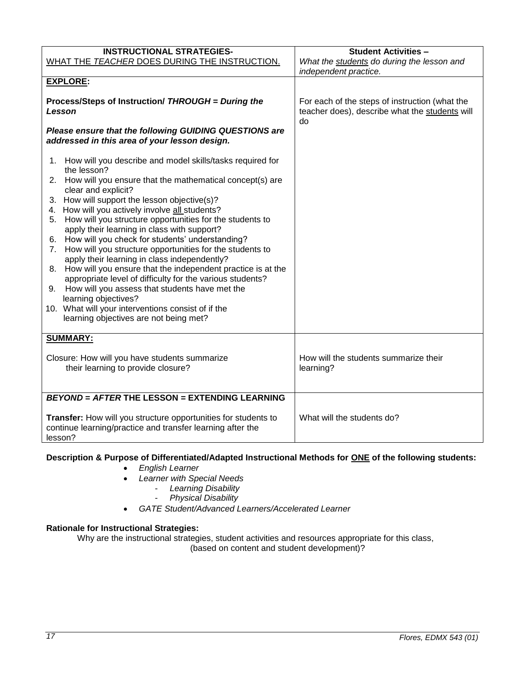| <b>INSTRUCTIONAL STRATEGIES-</b>                                                                                                        | <b>Student Activities -</b>                                                                            |  |
|-----------------------------------------------------------------------------------------------------------------------------------------|--------------------------------------------------------------------------------------------------------|--|
| WHAT THE TEACHER DOES DURING THE INSTRUCTION.                                                                                           | What the students do during the lesson and                                                             |  |
|                                                                                                                                         | independent practice.                                                                                  |  |
| <b>EXPLORE:</b>                                                                                                                         |                                                                                                        |  |
| Process/Steps of Instruction/ THROUGH = During the<br>Lesson                                                                            | For each of the steps of instruction (what the<br>teacher does), describe what the students will<br>do |  |
| Please ensure that the following GUIDING QUESTIONS are<br>addressed in this area of your lesson design.                                 |                                                                                                        |  |
| 1. How will you describe and model skills/tasks required for<br>the lesson?                                                             |                                                                                                        |  |
| How will you ensure that the mathematical concept(s) are<br>2.<br>clear and explicit?                                                   |                                                                                                        |  |
| 3. How will support the lesson objective(s)?<br>4. How will you actively involve all students?                                          |                                                                                                        |  |
| How will you structure opportunities for the students to<br>5.<br>apply their learning in class with support?                           |                                                                                                        |  |
| 6. How will you check for students' understanding?                                                                                      |                                                                                                        |  |
| How will you structure opportunities for the students to<br>7.<br>apply their learning in class independently?                          |                                                                                                        |  |
| 8. How will you ensure that the independent practice is at the<br>appropriate level of difficulty for the various students?             |                                                                                                        |  |
| How will you assess that students have met the<br>9.<br>learning objectives?                                                            |                                                                                                        |  |
| 10. What will your interventions consist of if the                                                                                      |                                                                                                        |  |
| learning objectives are not being met?                                                                                                  |                                                                                                        |  |
| <b>SUMMARY:</b>                                                                                                                         |                                                                                                        |  |
| Closure: How will you have students summarize<br>their learning to provide closure?                                                     | How will the students summarize their<br>learning?                                                     |  |
| <b>BEYOND = AFTER THE LESSON = EXTENDING LEARNING</b>                                                                                   |                                                                                                        |  |
| Transfer: How will you structure opportunities for students to<br>continue learning/practice and transfer learning after the<br>lesson? | What will the students do?                                                                             |  |

# **Description & Purpose of Differentiated/Adapted Instructional Methods for ONE of the following students:**

- *English Learner*
- *Learner with Special Needs*
	- *Learning Disability*
	- *Physical Disability*
- *GATE Student/Advanced Learners/Accelerated Learner*

# **Rationale for Instructional Strategies:**

<span id="page-16-0"></span>Why are the instructional strategies, student activities and resources appropriate for this class, (based on content and student development)?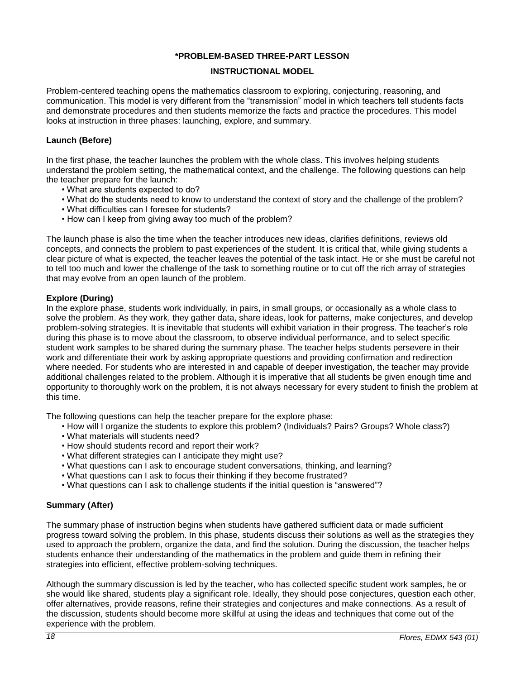## **\*PROBLEM-BASED THREE-PART LESSON**

# **INSTRUCTIONAL MODEL**

Problem-centered teaching opens the mathematics classroom to exploring, conjecturing, reasoning, and communication. This model is very different from the "transmission" model in which teachers tell students facts and demonstrate procedures and then students memorize the facts and practice the procedures. This model looks at instruction in three phases: launching, explore, and summary.

## **Launch (Before)**

In the first phase, the teacher launches the problem with the whole class. This involves helping students understand the problem setting, the mathematical context, and the challenge. The following questions can help the teacher prepare for the launch:

- What are students expected to do?
- What do the students need to know to understand the context of story and the challenge of the problem?
- What difficulties can I foresee for students?
- How can I keep from giving away too much of the problem?

The launch phase is also the time when the teacher introduces new ideas, clarifies definitions, reviews old concepts, and connects the problem to past experiences of the student. It is critical that, while giving students a clear picture of what is expected, the teacher leaves the potential of the task intact. He or she must be careful not to tell too much and lower the challenge of the task to something routine or to cut off the rich array of strategies that may evolve from an open launch of the problem.

## **Explore (During)**

In the explore phase, students work individually, in pairs, in small groups, or occasionally as a whole class to solve the problem. As they work, they gather data, share ideas, look for patterns, make conjectures, and develop problem-solving strategies. It is inevitable that students will exhibit variation in their progress. The teacher's role during this phase is to move about the classroom, to observe individual performance, and to select specific student work samples to be shared during the summary phase. The teacher helps students persevere in their work and differentiate their work by asking appropriate questions and providing confirmation and redirection where needed. For students who are interested in and capable of deeper investigation, the teacher may provide additional challenges related to the problem. Although it is imperative that all students be given enough time and opportunity to thoroughly work on the problem, it is not always necessary for every student to finish the problem at this time.

The following questions can help the teacher prepare for the explore phase:

- How will I organize the students to explore this problem? (Individuals? Pairs? Groups? Whole class?)
- What materials will students need?
- How should students record and report their work?
- What different strategies can I anticipate they might use?
- What questions can I ask to encourage student conversations, thinking, and learning?
- What questions can I ask to focus their thinking if they become frustrated?
- What questions can I ask to challenge students if the initial question is "answered"?

# **Summary (After)**

The summary phase of instruction begins when students have gathered sufficient data or made sufficient progress toward solving the problem. In this phase, students discuss their solutions as well as the strategies they used to approach the problem, organize the data, and find the solution. During the discussion, the teacher helps students enhance their understanding of the mathematics in the problem and guide them in refining their strategies into efficient, effective problem-solving techniques.

Although the summary discussion is led by the teacher, who has collected specific student work samples, he or she would like shared, students play a significant role. Ideally, they should pose conjectures, question each other, offer alternatives, provide reasons, refine their strategies and conjectures and make connections. As a result of the discussion, students should become more skillful at using the ideas and techniques that come out of the experience with the problem.